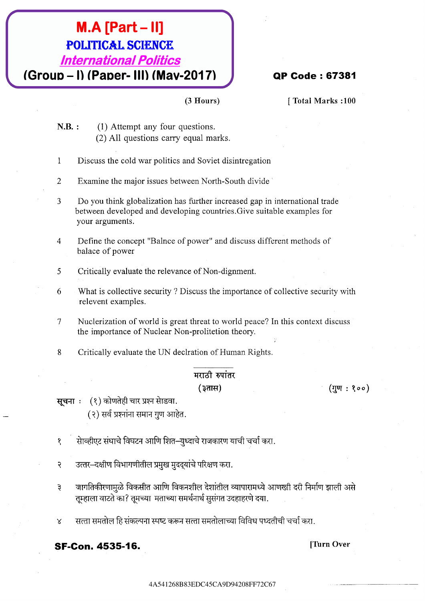### $M.A$  [Part - II] **POLITICAL SCIENCE International Politics** (Group - I) (Paper- III) (Mav-2017)

#### **QP Code: 67381**

[Total Marks:100]

- $N.B.$ : (1) Attempt any four questions. (2) All questions carry equal marks.
- $\mathbf{1}$ Discuss the cold war politics and Soviet disintregation
- $\overline{2}$ Examine the major issues between North-South divide
- 3 Do you think globalization has further increased gap in international trade between developed and developing countries. Give suitable examples for your arguments.

 $(3$  Hours)

- $\overline{4}$ Define the concept "Balnce of power" and discuss different methods of balace of power
- 5 Critically evaluate the relevance of Non-dignment.
- 6 What is collective security? Discuss the importance of collective security with relevent examples.
- $\tau$ Nuclerization of world is great threat to world peace? In this context discuss the importance of Nuclear Non-prolitetion theory.
- 8 Critically evaluate the UN declration of Human Rights.

#### मराठी रुपांतर (३तास)

 $($ गुण: १००)

सूचनाः (१) कोणतेही चार प्रश्न सेाडवा. (२) सर्व प्रश्नांना समान गुण आहेत.

सेाव्हीएट संघाचे विघटन आणि शित–युध्दाचे राजकारण याची चर्चा करा.  $\mathbf{S}$ 

- उत्तर–दक्षीण विभागणीतील प्रमुख मुददयांचे परिक्षण करा.  $\overline{\mathcal{E}}$
- जागतिकीरणामुळे विकसीत आणि विकनशील देशांतील व्यापारामध्ये आणखी दरी निर्माण झाली असे  $\mathfrak{z}$ तुम्हाला वाटते का? तुमच्या मताच्या समर्थनार्थ सुसंगत उदहाहरणे दया.
- सत्ता समतोल हि संकल्पना स्पष्ट करून सत्ता समतोलाच्या विविध पध्दतीची चर्चा करा.  $\bar{x}$

**SF-Con. 4535-16.** 

[Turn Over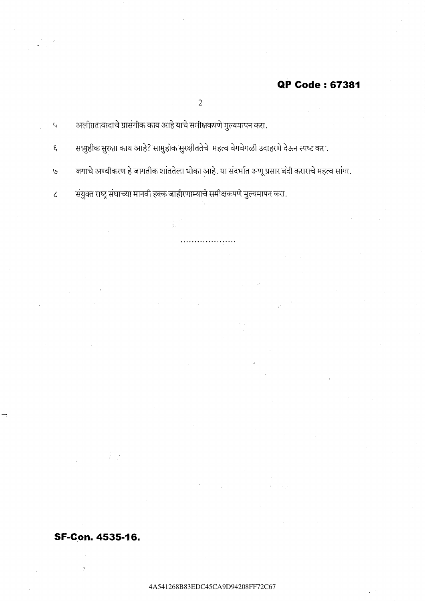#### QP Code: 67381

 $\overline{2}$ 

अलीप्ततावादाचे प्रासंगीक काय आहे याचे समीक्षकपणे मुल्यमापन करा.  $\mathbf{Q}$ 

सामुहीक सुरक्षा काय आहे? सामुहीक सुरक्षीततेचे महत्व वेगवेगळी उदाहरणे देऊन स्पष्ट करा.  $\epsilon$ 

जगाचे अण्वीकरण हे जागतीक शांततेला धोका आहे. या संदर्भात अणू प्रसार बंदी कराराचे महत्व सांगा.  $\overline{v}$ 

संयुक्त राष्ट्र संघाच्या मानवी हक्क जाहीरणाम्याचे समीक्षकपणे मुल्यमापन करा.  $\bar{\mathcal{L}}$ 

#### **SF-Con. 4535-16.**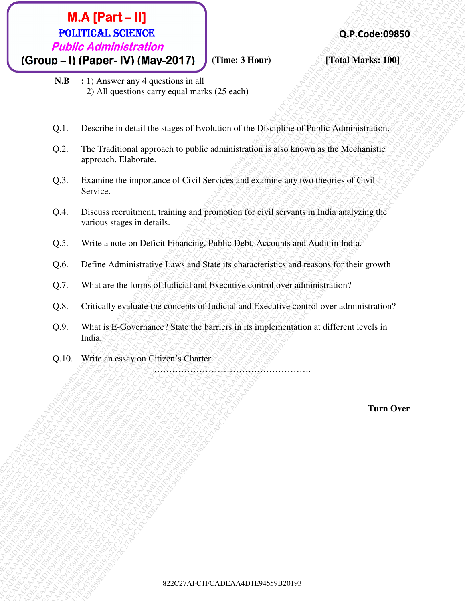### **822.2222 C27**<br> **BOLTICAL SCIERCICE**<br> **POLUTICA Administration**<br> **POLUTICA Administration**<br> **C31 Diprosection extrempt in all**  $\frac{1}{2}$  **All operation extrempt in all**  $\frac{1}{2}$  **All operation extrempt in all<br>
23. All operat M.A. [Part - II]**<br> **C27AFCADEA**<br> **C27AFCADEACA4D1E91922C27AFC1FCADEA2D17**<br> **C27AFC1FCADEAA4D1E9452C27AFC1FCADEA**<br> **C27AFC1FCADEA**<br> **E27AFCADEA**<br> **C27AFCADEAA4D1E912C27AFC27AFCADEA**<br> **C27AFCADEA**<br> **C27AFCADEA**<br> **C27AFCADE M.A. [Part – 11]**<br> **Public Administration**<br> **CEOUD – 11) Papare + 19) (May-2017)**<br> **CEOUD – 11) Papare + 19 (May-2017)**<br> **CEOUD – 11)** Papare + 19 (May-2017)<br>
21. The University are provide substantial (25 void)<br>
21. The **M.A. [Part – 11]**<br> **COLUME Administration**<br> **CEOUS - Difference TV (MAN-2017)**<br> **CEOUS - Difference TV (MAN-2017)**<br> **N.B.** 12. All questions carry spin murks 12.5 rack)<br>
(2). The carbon derivative spin murks 12.5 rack)<br> **82.2.4.1 FCAT CADEAC**<br> **822C27C2AFCADEACO27**<br> **ECONOMICAL Additional method of the A19 A22C27AFC1FCADEACO27AFC1FCADEACO27AFC1FCADEACO27AFC1FCADEACO27AFC1FCADEACO27AFC1FCADEACO27AFC1FCADEAA4D1E945032C27AFC1FCADEAA4D1E9450 822**C27**AFCADEA**<br> **EDITIES Additional English 2012**<br> **CFOUDI - 11) (Phonor and 2412C27AP2)**<br> **CFOUDI - 11) Among any 4 apachime in all**<br>  $\times$  N = 1) Among any 4 apachime in all<br>  $\frac{1}{2}$  AFC production and y small multi **822**C27**AFCADEA**<br> **EDITIES Additional English 2012**<br> **CFOUDI - 11) (Phonor and 2412C27AP2)**<br> **CFOUDI - 11) Among any 4 apachime in all**<br>  $\times$  N = 1) Among any 4 apachime in all<br>  $\frac{1}{2}$  AFC production and y small multi **822**C27**AFCADEA**<br> **EDITIES Additional English 2012**<br> **CFOUDI - 11) (Phonor and 2412C27AP2)**<br> **CFOUDI - 11) Among any 4 apachime in all**<br>  $\times$  N = 1) Among any 4 apachime in all<br>  $\frac{1}{2}$  AFC production and y small multi **822**C27**AFCADEA**<br> **EDITIES Additional English 2012**<br> **CFOUDI - 11) (Phonor and 2412C27AP2)**<br> **CFOUDI - 11) Among any 4 apachime in all**<br>  $\times$  N = 1) Among any 4 apachime in all<br>  $\frac{1}{2}$  AFC production and y small multi **822**C27**AFCADEA**<br> **EDITIES Additional English 2012**<br> **CFOUDI - 11) (Phonor and 2412C27AP2)**<br> **CFOUDI - 11) Among any 4 apachime in all**<br>  $\times$  N = 1) Among any 4 apachime in all<br>  $\frac{1}{2}$  AFC production and y small multi **822**C27**AFCADEA**<br> **EDITIES Additional English 2012**<br> **CFOUDI - 11) (Phonor and 2412C27AP2)**<br> **CFOUDI - 11) Among any 4 apachime in all**<br>  $\times$  N = 1) Among any 4 apachime in all<br>  $\frac{1}{2}$  AFC production and y small multi **822**C27**AFCADEA**<br> **EDITIES Additional English 2012**<br> **CFOUDI - 11) (Phonor and 2412C27AP2)**<br> **CFOUDI - 11) Among any 4 apachime in all**<br>  $\times$  N = 1) Among any 4 apachime in all<br>  $\frac{1}{2}$  AFC production and y small multi **822**C27**AFCADEA**<br> **EDITIES Additional English 2012**<br> **CFOUDI - 11) (Phonor and 2412C27AP2)**<br> **CFOUDI - 11) Among any 4 apachime in all**<br>  $\times$  N = 1) Among any 4 apachime in all<br>  $\frac{1}{2}$  AFC production and y small multi **822**C27**AFCADEA**<br> **EDITIES Additional English 2012**<br> **CFOUDI - 11) (Phonor and 2412C27AP2)**<br> **CFOUDI - 11) Among any 4 apachime in all**<br>  $\times$  N = 1) Among any 4 apachime in all<br>  $\frac{1}{2}$  AFC production and y small multi **EXAMPERT – HI)**<br> **EXAMPLE CADEACORES**<br> **CONCOUL - 1) (PRODUCE ALSEDING 20019392C21213)**<br> **CONCOUL - 1)** (PRODUCE 14 AND AND CONCOURCE THE SURVEY (THE SURVEY THE SURVEY THAT THE SURVEY THAT THE SURVEY THAT THE SURVEY THAT **EXACT FOR THE VALUE ADVISITED ACCESS CONTRACT CONTRACT CONTRACT CONTRACT CONTRACT CONTRACT CONTRACT CONTRACT CONTRACT CONTRACT CONTRACT CONTRACT CONTRACT CONTRACT CONTRACT CONTRACT CONTRACT CONTRACT CONTRACT CONTRACT CONT 822** C227AFCADEA<br> **EDITIES Administration**<br> **CFOURD - 1) (PRODUCTS 2C27AFC1FCADEAA4D1E94519382C27AFTCADEAA4D1E9451922C27AFTCADEAA4D1E945192C27AFTCADEAA4D1E945192C27AFC1FCADEAA4D1E945459B2019382C27AFC1FCADEAA4D1E94559B201 EXECRECATE - 11)**<br> **POLITIC Additional SCENCERCO**<br> **CGroup - 11) (Paper - IV) (Mary-2017)**<br>
CF ULA DEAA4D-19382<br>
SUB-11 A Lawrence Compaque and Lawrence Compaque and Lawrence<br>
22. The Traditional approach on the Euler Dis **822** C27**AFCADEA**<br> **EQUIDE Additional SCENCE<br>
<b>EQUIDE Additional SCENE A202C217**<br> **EXERCIFCADE A202C217**<br> **EXERCIFCADEA**<br> **EXERCIFCADEA**<br> **EXERCIFCADEA**<br> **EXERCIFCADEA**<br> **CADEA**<br> **CADEA**<br> **CADEA**<br> **CADEA**<br> **CADEA**<br> **CADE EPALA FRATE - HI)**<br> **PUblic Administration**<br> **CROWD - Difference CAT CADEA**<br> **CROWD - DIFFERENT CADEA CONTINENT (THE SURVEY CADEA)**<br> **THE SURVEY CONTINENT ANGULAR CONTINENT (THE SURVEY CAN AFTER SURVEY)**<br>
2.1. Denotine in  $(Group - I) (Paper - IV) (May-2017)$   $(Time: 3 Hour)$   $(3 Four)$

- **N.B :** 1) Answer any 4 questions in all 2) All questions carry equal marks (25 each)
- Q.1. Describe in detail the stages of Evolution of the Discipline of Public Administration.
- Q.2. The Traditional approach to public administration is also known as the Mechanistic approach. Elaborate.
- Q.3. Examine the importance of Civil Services and examine any two theories of Civil Service.
- Q.4. Discuss recruitment, training and promotion for civil servants in India analyzing the various stages in details.
- Q.5. Write a note on Deficit Financing, Public Debt, Accounts and Audit in India.
- Q.6. Define Administrative Laws and State its characteristics and reasons for their growth
- Q.7. What are the forms of Judicial and Executive control over administration?
- Q.8. Critically evaluate the concepts of Judicial and Executive control over administration?
- Q.9. What is E-Governance? State the barriers in its implementation at different levels in India.
- Q.10. Write an essay on Citizen's Charter.

…………………………………………….

**Turn Over**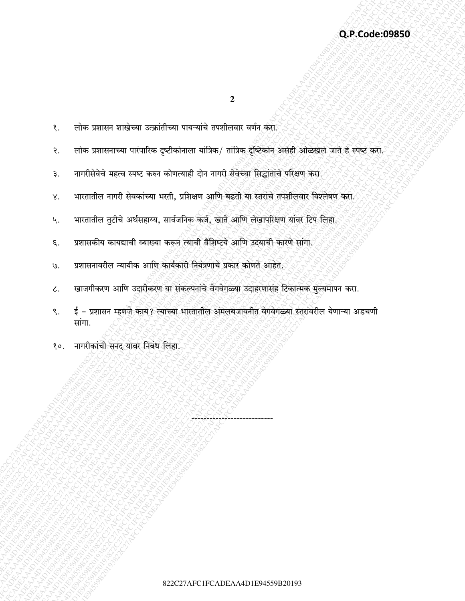$\boldsymbol{2}$ 

- लोक प्रशासनाच्या पारंपारिक दृष्टीकोनाला यांत्रिक/ तांत्रिक दृष्टिकोन असेही ओळखले जाते हे स्पष्ट करा. नागरीसेवेचे महत्व स्पष्ट करुन कोणत्याही दोन नागरी सेवेच्या सिद्धांतांचे परिक्षण करा. भारतातील नागरी सेवकांच्या भरती, प्रशिक्षण आणि बढती या स्तरांचे तपशीलवार विश्लेषण करा.
- भारतातील तुटीचे अर्थसहाय्य, सार्वजनिक कर्ज, खाते आणि लेखापरिक्षण यांवर टिप लिहा. ५.
- प्रशासकीय कायद्याची व्याख्या करून त्याची वैशिष्टये आणि उदयाची कारणे सांगा. ξ.

लोक प्रशासन शाखेच्या उत्क्रांतीच्या पायऱ्यांचे तपशीलवार वर्णन करा.

- प्रशासनावरील न्यायीक आणि कार्यकारी नियंत्रणाचे प्रकार कोणते आहेत. G.
- खाजगीकरण आणि उदारीकरण या संकल्पनांचे वेगवेगळ्या उदाहरणासंह टिकात्मक मुल्यमापन करा.  $\mathcal{L}.$
- ई प्रशासन म्हणजे काय? त्याच्या भारतातील अमलबजावनीत वेगवेगळ्या स्तरांवरील येणाऱ्या अडचणी ९. सांगा.
- नागरीकांची सनद यावर निबंध लिहा.  $80.$

१.

 $\mathcal{S}$ .

३.

X.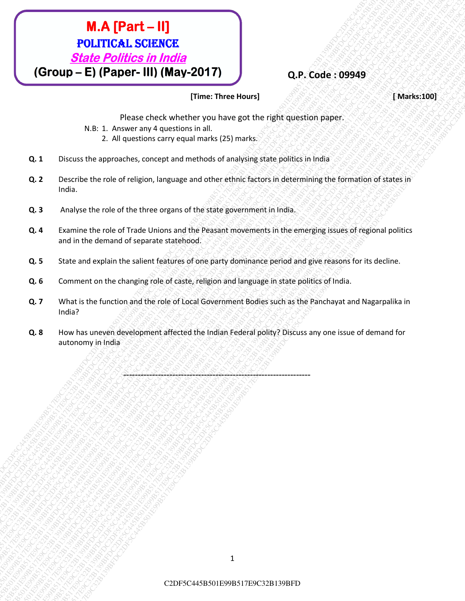## **M.A. [Part 1. II]**<br> **C2DF5C445. CSENSCE**<br>
C2DF6DF1E99BF1-III) (**May-2017)**<br>
(Group - E) (Paper - III) (**May-2017)**<br>  $\frac{20 \text{cos} \text{c}}{1}$  context we can be considered to consider the model of the set of the paper consider **M.A. (Part – H)**<br> **POLITICES ISSNEC 800049**<br>
(Group – E) (Paper – HI) (May-2017)<br>
(Research englishments there there are the second to the most of the second to the most of the second of the second of the second of the s **C2DF5C645F17E9**<br> **C2DF5C445C4501E99B517E9C32BFDC2DF7**<br>
C2DF5C445BFDC2DF5C445BFDC2DF7<br>
THE THEORET IN (MARY-2017)<br>
THE THEORET IN (MARY-2017)<br>
THE THEORET IN (MARY-2017)<br>
RET THEORET IN (MARY-2018)<br>
Q2DF5C45BFDC2DF5C445BFD **C2DF5C445F01E17E9C454501E9C32B139FDC2DF5C445B517E9C32B139BFDC2DF5C445B501**<br> **C3DF5C454517E9C4517E9C45B517E9C445B517E9C445B517E9C32B130BFDC2DF5C445B50158917E9C32B130BFDC2DF5C445B5017E9C45B5017E9C45B5017E9C45B5017E9C45B5017 C2DF5C45FDC2DF5C445B5017E9C32B139E917E9C32B139E917E9C32B139E917E9C32B139E917E9C32B139E917E9C32B139E917E9C32B139E917E9C32B139E917E9C32B139E917E9C32B139E917E9C32B139E917E9C32B139E917E9C32B139E917E9C32B139E917E9C32B139E917E9 C2DF5C445FDC2DF5C445B501E915C445B501FDC445B501FDC445B501E99B517E9C32B139BFDC2DF5C445B501E99B517E9C32B139BFDC2DF5C445B501E912BFDC2DF5C445B501E912BFDC2DF5C445B501E912BFDC2DF5C445B501E912BFDC2DF5C445B501E912BFDC2DF5C445B501E C2DF5C6445-DF5C6445B501E99B517E9C445B501E912BFDC2DF7**<br>
C3PC0UP-E1(Fe0DFE-F1II) (MAV-2017)<br>
Transference increasesure)<br>
R.E. 1. Mississipping Constrained Property interesting the constrained Constrained Property (States a **C2DF5C6445-DF5C6445B501E99B517E9C445B501E912BFDC2DF7**<br>
C3PC0UP-E1(Fe0DFE-F1II) (MAV-2017)<br>
Transference increasesure)<br>
R.E. 1. Mississipping Constrained Property interesting the constrained Constrained Property (States a **C2DF5C6445-DF5C6445B501E99B517E9C445B501E912BFDC2DF7**<br>
C3PC0UP-E1(Fe0DFE-F1II) (MAV-2017)<br>
Transference increasesure)<br>
R.E. 1. Mississipping Constrained Property interesting the constrained Constrained Property (States a **C2DF5C6445-DF5C6445B501E99B517E9C445B501E912BFDC2DF7**<br>
C3PC0UP-E1(Fe0DFE-F1II) (MAV-2017)<br>
Transference increasesure)<br>
R.E. 1. Mississipping Constrained Property interesting the constrained Constrained Property (States a **C2DF5C6445-DF5C6445B501E99B517E9C445B501E912BFDC2DF7**<br>
C3PC0UP-E1(Fe0DFE-F1II) (MAV-2017)<br>
Transference increasesure)<br>
R.E. 1. Mississipping Constrained Property interesting the constrained Constrained Property (States a **C2DF5C6445-DF5C6445B501E99B517E9C445B501E912BFDC2DF7**<br>
C3PC0UP-E1(Fe0DFE-F1II) (MAV-2017)<br>
Transference increasesure)<br>
R.E. 1. Mississipping Constrained Property interesting the constrained Constrained Property (States a **C2DF5C6445-DF5C6445B501E99B517E9C445B501E912BFDC2DF7**<br>
C3PC0UP-E1(Fe0DFE-F1II) (MAV-2017)<br>
Transference increasesure)<br>
R.E. 1. Mississipping Constrained Property interesting the constrained Constrained Property (States a **C2DF5C445B7C42F9C6264501E99B517E9C32B1392C45**<br>
C2DF5C42B5162FDC2DF5C45E61E9E1611E9E161E9E161E9E161E9E161E9E162FDC2OF32BFDC20C45E9E162FDC2OF32BFDC2OF3C45B501<br>
THE THE THE CHANNEL FOR CHANNEL FINITE CONSULTAINS (THE CHANNEL **C2DF5C6C5**<br>
C2DF5C45C92BFDC2DF5C67E9<br>
C2DF5C45C91E99B517E9C32B139BFDC2DF7E9<br>
C2DF5C45E91E9FDC2DF5C67E9FDC2DF7E9<br>
RAD-12-E9GFDC2DF5C67E9FBC3DFDC2DF5C445B517E9C445B517E9C445B517E9E9E9FBC3DF3C445B501E9FBC2DF5C445B517E9C445B **C2DF5C6445B501**<br> **C2DF5C445B501E99B517E9117E9C32B139BFDC2DF7FDC3DF5C445B601E99B517E9117E9115C445B617E9117E9115C645B517E912DF7FDC3DF5C445B617E912DF5C445B517E912DF6C445B617E912DF6C445B617E912DF5C445B5012DF5C445B517E912DF6C4 C2DF5C6445**<br>
C2PFOCUP - EXPERIENCE SIN India<br>
C2PFOCUP - EXPERIENCE SIN INSTEAD (STEP TO ANGELE A CALL THE CONSUMERATION CONSUMERATION CONSULTS)<br>
2.4 Forecast any *P* - metalling corresponds the consumer state of the cons **C2**<br> **C3DF16C445 For C2DF5C445 B501E99 (There. Three Three Three Three Three Three Three Three Three Three Three Three Three Three Three Three Three Three Three Three Three Three Three Three Three Three Three Three Three C2PF5C445 E9ST - H1)**<br> **C2PF6D6FF DC11E99B517E9C32B17E9C32B139BFDC2DF7T001E9C32B139BFDC2DF5C645B5012BFDC2DF5C645B5012BFDC6445B7601E99B517E9C32B139BFDC2DF7T001E9E317E9C32B139BFDC2DF7T01E9E317E9C32B139BFDC2DF7T01E9E317E9C32** C2DF5C445B501E99B517E9C32B139BFDC2DF5C445B501E99B517E9C32B139BFDC2DF5C445B501E99B517E9C32B139BFDC2DF5C445B501E99B517E9C32B139BFDC2DF5C445B501E99B517E9C32B139BFDC2DF5C445B501E99B517E9C32B139BFD

#### **Q.P. Code : 09949**

#### **[Time: Three Hours] [ Marks:100]**

Please check whether you have got the right question paper.

- N.B: 1. Answer any 4 questions in all.
	- 2. All questions carry equal marks (25) marks.
- **Q. 1** Discuss the approaches, concept and methods of analysing state politics in India
- **Q. 2** Describe the role of religion, language and other ethnic factors in determining the formation of states in India.
- **Q. 3** Analyse the role of the three organs of the state government in India.

-----------------------------------------------------------------

- **Q. 4** Examine the role of Trade Unions and the Peasant movements in the emerging issues of regional politics and in the demand of separate statehood.
- **Q. 5** State and explain the salient features of one party dominance period and give reasons for its decline.
- **Q. 6** Comment on the changing role of caste, religion and language in state politics of India.
- **Q. 7** What is the function and the role of Local Government Bodies such as the Panchayat and Nagarpalika in India?
- **Q. 8** How has uneven development affected the Indian Federal polity? Discuss any one issue of demand for autonomy in India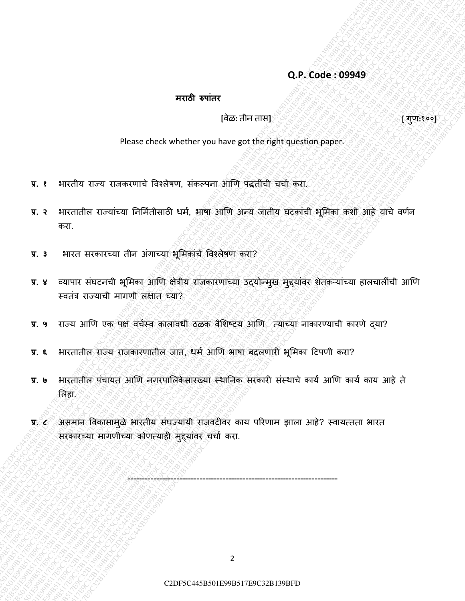#### **Q.P. Code : 09949**

#### **मराठी रुपाांतर**

#### **[**वȯळ**:** तीन तास**] [** गुण**:**१००**]**

Please check whether you have got the right question paper.

- **प्र. १** भारतीय राज्य राजकरणाचȯ ववश्लȯषण, संकल्पना आणण पद्धतींची चचाा करा.
- C2DF5C445B501E99B517E9C32B139BFDC2DF5C445B501E99B517E9C32B139BFDC2DF5C445B501E99B517E9C32B139BFDC2DF5C445B501E99B517E9C32B139BFDC2DF5C445B501E99B517E9C32B139BFDC2DF5C445B501E99B517E9C32B139BFD **प्र. २** भारतातील राज्यांच्या ननर्मातीसाठी धमा, भाषा आणण अन्य जातीय घटकांची भूर्मका कशी आहȯ याचȯ वणान करा.
- **प्र. ३** भारत सरकारच्या तीन अंगाच्या भूर्मकांचȯ ववश्लȯषण करा?
- C2DF5C445B517E9C445B517E9C445B501E99B517E9C32B139BFDC2DF5C445B517E9FDC2DF5C445B517E9C32B139BFDC2DF5C445B501E99B517E9C32B139BFDC2DF5C445B501E99B517E9C32B139BFDC2DF5C445B501E99B517E9C32B139BFDC2DF5C445B5017E9C32B139BFDC2DF7E C2DF5C64599949<br>
Transformers<br>
C2PF5C645<br>
Phenometric content and when the content and the explorer and the explorer and the explorer and one<br>
C2PF6C64501E91E9E1FDC2DF15C445B517E9E1FDC2DF6C445BFDC2DF6C445BFDC2DF5C445BFDC2DF C2DF5C445801E923B139BFDC2DF5C4458501E9C32B139BFDC3DF5C445B5015E9C32B139BFDC3DF5C445B501FDC3DF5C445B501FDC2DF5C445B5017E9E32B139BFDC2DF5C445B5017E9E3C445B5017E9E3C445B5017E9E3C445B5017E9E3C445B5017E9E3C445B5017E9E3C445B5017 C2DF5C445B501E99B517E9C32B139BFDC2DF5C445B501E99B517E9C32B139BFDC2DF5C445B501E99B517E9C32B139BFDC2DF5C445B501E99B517E9C32B139BFDC2DF5C445B501E99B517E9C32B139BFDC2DF5C445B501E99B517E9C32B139BFD C2DF5C646169949<br>
Please check whether you have also check of the control of the section of the section of the section of the section of the section of the section of the section of the section of the section of the sectio C2DF. Code (19949)<br>
Please check whenever you have not live individuants on paper.<br>
T. 1 Hacks are discrete the check when the control of the summarized and the summarized and the summarized and the summarized and the summ C2DF. Code (19949)<br>
Please check whenever you have not live individuants on paper.<br>
T. 1 Hacks are discrete the check when the control of the summarized and the summarized and the summarized and the summarized and the summ C2DF. Code (19949)<br>
Please check whenever you have not live individuants on paper.<br>
T. 1 Hacks are discrete the check when the control of the summarized and the summarized and the summarized and the summarized and the summ C2DF. Code (19949)<br>
Please check whenever you have not live individuants on paper.<br>
T. 1 Hacks are discrete the check when the control of the summarized and the summarized and the summarized and the summarized and the summ C2DF. Code (19949)<br>
Please check whenever you have not live individuants on paper.<br>
T. 1 Hacks are discrete the check when the control of the summarized and the summarized and the summarized and the summarized and the summ C2DF. Code (19949)<br>
Please check whenever you have not live individuants on paper.<br>
T. 1 Hacks are discrete the check when the control of the summarized and the summarized and the summarized and the summarized and the summ C2DF. Code (19949)<br>
Please check whenever you have not live individuants on paper.<br>
T. 1 Hacks are discrete the check when the control of the summarized and the summarized and the summarized and the summarized and the summ C2DF5C445B501E99B517E9C32B139BFDC2DF5C445B501E99B517E9C32B139BFDC2DF5C445B501E99B517E9C32B139BFDC2DF5C445B501E99B517E9C32B139BFDC2DF5C445B501E99B517E9C32B139BFDC2DF5C445B501E99B517E9C32B139BFD C2DF5C445B501E99B517E9C32B139BFDC2DF5C445B501E99B517E9C32B139BFDC2DF5C445B501E99B517E9C32B139BFDC2DF5C445B501E99B517E9C32B139BFDC2DF5C445B501E99B517E9C32B139BFDC2DF5C445B501E99B517E9C32B139BFD C2DF5C445B501E99B517E9C32B139BFDC2DF5C445B501E99B517E9C32B139BFDC2DF5C445B501E99B517E9C32B139BFDC2DF5C445B501E99B517E9C32B139BFDC2DF5C445B501E99B517E9C32B139BFDC2DF5C445B501E99B517E9C32B139BFD C2DF5C44981E92C49BFDC2DF5C445B501E99B517E9C32B139BFDC2DF5C445B501E99B517E9C32B139BFDC3DF3C445B501E99B517E9C32B139BFDC3DF3C445B501E99B517E9C32B139BFDC2DF5C445B501E99B517E9C32B139BFDC2DF5C445B501FDC2DF5C445B5017E9E3C47E9C32 C2PF5C445B501E92BFDC2DF5C445B501E9C3DF7C445B501E9C32B139BFDC2DF5C445B501E99B517E9C32B139BFDC2DF5C445B501E99B517E9C32B139BFDC2DF5C445B5012B5017E9E32B139BFDC2DF5C445B5017E9E32B139E9E317E9E317E9E317E9E317E9E317E9E317E9E317E9E C2DF5C64591999<br>
Primary C3DF5C445B517E91E9C32B139BFDC2DF5C445B517E9C32B139BFDC2DF5C445B517E9C32B139BFDC2DF5C445B517E9C32B139BFDC2DF5C445B517E9C32B139BFDC2DF5C445B517E91E9C32B139E9C32B139BFDC2DF5C445B517E9FDC2DF5C445B517E9 C2DF5C6465C9949<br>
TC2DF5C445E617E99B517E92E3C38BFDC20E38BFDC2DF5C445B517E9PEC<br>
TC1 Heridia area and Side Company ideas on the particular particle company is the set of the set of the set of the set of the set of the set of **प्र. ४** व्यापार संघटनची भूमिका आणि क्षेत्रीय राजकारणाच्या उद्योन्मुख मुद्दयांवर शेतकऱ्यांच्या हालचालींची आणि स्वतंत्र राज्याची मागणी लक्षात घ्या?
	- प्र. ५ राज्य आणि एक पक्ष वर्चस्व कालावधी ठळक वैशिष्टय आणि त्याच्या नाकारण्याची कारणे द्या?
	- **प्र. ६** भारतातील राज्य राजकारणातील जात, धमा आणण भाषा बदलणार भूर्मका टटपणी करा?
	- **प्र. ७** भारतातील पंचायत आणि नगरपालिकेसारख्या स्थानिक सरकारी संस्थाचे कार्य आणि कार्य काय आहे ते र्लहा.
	- **प्र. ८** असमान विकासामुळे भारतीय संघज्यायी राजवटीवर काय परिणाम झाला आहे? स्वायत्तता भारत सरकारच्या मागणीच्या कोणत्याही मुद्दयांवर चर्चा करा.

-------------------------------------------------------------------------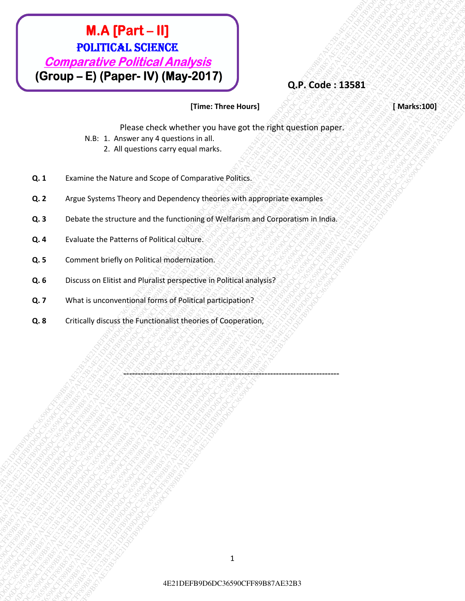# **EXAMPERT-11)**<br> **COMPARATELES.**<br> **COMPARATELES CORRECTES AMADES is all comparative** *COMPARATELES***<br>
(Group - E) (Paper - W) (May-2017)<br>
NA R. 1. Attorney and A Level when the two starts are provided to the interval control EXAMPERT - II)**<br>
POLITICAL SCIENCE<br>
COMPORATION COMPORATION COMPORATION COMPORATION COMPORATION COMPORATION COMPORATION COMPORATION COMPORATION CONTINUES IN THE CONTINUES OF THE CONTINUES OF THE CONTINUES OF THE CONTINUES 1E21DEFF8D6DC36590CFF87AE32<br>
2CFF80DFF8D6DC3612B34E21DEFB9D6DC36<br>
2CFF8D6DC36590CFF89B87AP3(Magnus Theory and The Concernent Transmission Companies of the Case of the Case of the Case of the Case of the Case of the Case of **EXERCE FROM AT PRINT - HI)**<br> **COMPARENT CONTROL ANALYSIS**<br> **COFF8DB-E21 (PRINT - HI) (MARY-2017)**<br>
TIME THERE INSURED ANALYSIS (THE TRIVE IN ANALYSIS (THE TRIVE IS A CONSERVABLE IN ANALYSIS)<br>
R. 1 PARTINE ON EVALUATION CO **EXAMPLEMENT ACTS (SCRIPT)**<br> **COMPARENT CONTINUO DEL CAPADRE DEL CAPADRE DEL CAPADRE DEL CAPADRE DEL CAPADRE DEL CAPADRE DEL CAPADRE DEL CAPADRE DEL CAPADRE DEL CAPADRE DEL CAPADRE DEL CAPADRE DEL CAPADRE DEL CAPADRE DEL C 4E21 Comparably Political Americans**<br> **4C21DEFB9D6DC361AE32B34E21DEFB9D6DC36590CFF89B87AE32B34E21DEFB9D6DC36590CFF89B87AE32B34E21DEFB9D6DC36590CFF8D6DC36590CFF89B87AE32B34E21DEFB9D6DC36590CFF89B87AE32B34E21DEFB9D6DC36590C 4E21 Comparably Political Americans**<br> **4C21DEFB9D6DC361AE32B34E21DEFB9D6DC36590CFF89B87AE32B34E21DEFB9D6DC36590CFF89B87AE32B34E21DEFB9D6DC36590CFF8D6DC36590CFF89B87AE32B34E21DEFB9D6DC36590CFF89B87AE32B34E21DEFB9D6DC36590C 4E21 Comparably Political Americans**<br> **4C21DEFB9D6DC361AE32B34E21DEFB9D6DC36590CFF89B87AE32B34E21DEFB9D6DC36590CFF89B87AE32B34E21DEFB9D6DC36590CFF8D6DC36590CFF89B87AE32B34E21DEFB9D6DC36590CFF89B87AE32B34E21DEFB9D6DC36590C 4E21 Comparably Political Americans**<br> **4C21DEFB9D6DC361AE32B34E21DEFB9D6DC36590CFF89B87AE32B34E21DEFB9D6DC36590CFF89B87AE32B34E21DEFB9D6DC36590CFF8D6DC36590CFF89B87AE32B34E21DEFB9D6DC36590CFF89B87AE32B34E21DEFB9D6DC36590C 4E21 Comparably Political Americans**<br> **4C21DEFB9D6DC361AE32B34E21DEFB9D6DC36590CFF89B87AE32B34E21DEFB9D6DC36590CFF89B87AE32B34E21DEFB9D6DC36590CFF8D6DC36590CFF89B87AE32B34E21DEFB9D6DC36590CFF89B87AE32B34E21DEFB9D6DC36590C 4E21 Comparably Political Americans**<br> **4C21DEFB9D6DC361AE32B34E21DEFB9D6DC36590CFF89B87AE32B34E21DEFB9D6DC36590CFF89B87AE32B34E21DEFB9D6DC36590CFF8D6DC36590CFF89B87AE32B34E21DEFB9D6DC36590CFF89B87AE32B34E21DEFB9D6DC36590C 4E21 Comparably Political Americans**<br> **4C21DEFB9D6DC361AE32B34E21DEFB9D6DC36590CFF89B87AE32B34E21DEFB9D6DC36590CFF89B87AE32B34E21DEFB9D6DC36590CFF8D6DC36590CFF89B87AE32B34E21DEFB9D6DC36590CFF89B87AE32B34E21DEFB9D6DC36590C 4E21 Comparably Political Americans**<br> **4C21DEFB9D6DC361AE32B34E21DEFB9D6DC36590CFF89B87AE32B34E21DEFB9D6DC36590CFF89B87AE32B34E21DEFB9D6DC36590CFF8D6DC36590CFF89B87AE32B34E21DEFB9D6DC36590CFF89B87AE32B34E21DEFB9D6DC36590C 4E2PET - HI)**<br> **4PETERBRACE21DEFB9D6DC3612E1DEFB9D6DC3659CFF89B87AE32B34E21DEFB9D6DC3659CFF89B87AE32B34E21DEFB9D6DC36590CFF89B87AE32B34E21DEFB9D6DC36590CFF89B87AE32B34E21DEFB9D6DC36590CFF89B87AE32B34E21DEFB9D6DC36590CFF89 EXECPREDIT (19)**<br> **COMPORATION CAMPAGES**<br>
COFFEDIDE PORTURE POINT (MARY 2017)<br>
(COFFEDIDE PORTURAL CORPORATION (THE CORPORATION CONTROL)<br>
IN ACCRE CORPORATION (THE CORPORATION CONTROL)<br>
CALCA CORPORATION CONTROLLED CONTRO 4E21DEFB9D6DC36590CFF89B87AE32B34E21DEFB9D6DC36590CFF89B87AE32B34E21DEFB9D6DC36590CFF89B87AE32B34E21DEFB9D6DC36590CFF89B87AE32B34E21DEFB9D6DC36590CFF89B87AE32B34E21DEFB9D6DC36590CFF89B87AE32B3 M.A. (Part. – II)<br>
POLITICAL SCIENCE<br>
COmposition Political Amalysis<br>
(Group – E) (Paper. IV) (May-2017)<br>
There Treevelays (2011)<br>
VR. 1 Accounts of the National Property and the system and the system of the system of the **EXAMPERT - III)**<br> **COMParation PSICENCE**<br> **COMParation PSICENTRE PSICE (2003)**<br> **CFF COBP - EXAMPERT PSICE ACTIVE (2003)**<br>
WELL EXAMPER PORT IVON (MAY-221)<br>
WELL EXAMPER ACTIVE (2003) THE THE THE REST SERVER PROPERTY CONT M.A. [Part - II]<br>
POLITICAL SCIENCE<br>
(Group - E) (Paper - IV) (May-2017)<br>
Hose check whether was have controlled and the method of the method of the method of the method of the method of the method of the method of the met M.A. (Part – II)<br>
POLITICAL SCIENCE<br>
Comparative Political Analysis<br>
(Group – E) (Paper- IV) (May 2017)<br>
Nis Lamouren and the substitute political and right quasitom page.<br>
21 Alexandre Material and the started and the sta

### **Q.P. Code : 13581**

#### **[Time: Three Hours] [ Marks:100]**

Please check whether you have got the right question paper.

- N.B: 1. Answer any 4 questions in all.
	- 2. All questions carry equal marks.
- **Q. 1** Examine the Nature and Scope of Comparative Politics.
- **Q. 2** Argue Systems Theory and Dependency theories with appropriate examples
- **Q. 3** Debate the structure and the functioning of Welfarism and Corporatism in India.

---------------------------------------------------------------------------

- **Q. 4** Evaluate the Patterns of Political culture.
- **Q. 5** Comment briefly on Political modernization.
- **Q. 6** Discuss on Elitist and Pluralist perspective in Political analysis?
- **Q. 7** What is unconventional forms of Political participation?
- **Q. 8** Critically discuss the Functionalist theories of Cooperation,